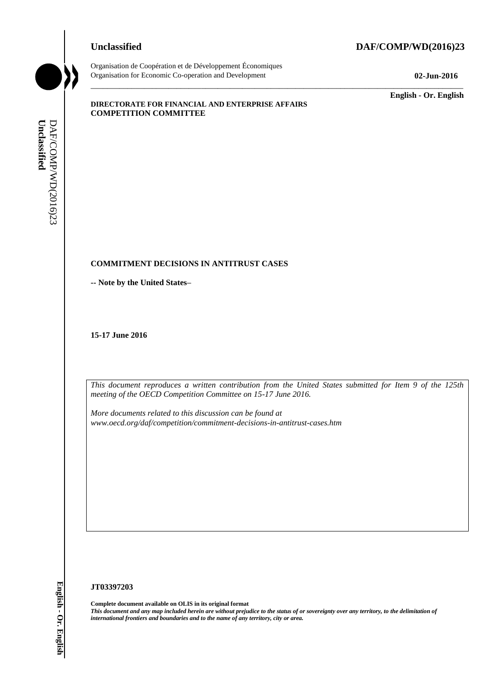# **Unclassified DAF/COMP/WD(2016)23**



Organisation de Coopération et de Développement Économiques Organisation for Economic Co-operation and Development **02-Jun-2016**

\_\_\_\_\_\_\_\_\_\_\_\_\_ **English - Or. English**

#### **DIRECTORATE FOR FINANCIAL AND ENTERPRISE AFFAIRS COMPETITION COMMITTEE**

### **COMMITMENT DECISIONS IN ANTITRUST CASES**

**-- Note by the United States–**

**15-17 June 2016**

*This document reproduces a written contribution from the United States submitted for Item 9 of the 125th meeting of the OECD Competition Committee on 15-17 June 2016.* 

\_\_\_\_\_\_\_\_\_\_\_\_\_\_\_\_\_\_\_\_\_\_\_\_\_\_\_\_\_\_\_\_\_\_\_\_\_\_\_\_\_\_\_\_\_\_\_\_\_\_\_\_\_\_\_\_\_\_\_\_\_\_\_\_\_\_\_\_\_\_\_\_\_\_\_\_\_\_\_\_\_\_\_\_\_\_\_\_\_\_\_

*More documents related to this discussion can be found at www.oecd.org/daf/competition/commitment-decisions-in-antitrust-cases.htm*

#### **JT03397203**

**Complete document available on OLIS in its original format** *This document and any map included herein are without prejudice to the status of or sovereignty over any territory, to the delimitation of international frontiers and boundaries and to the name of any territory, city or a* **iii** *international frontiers and boundaries and boundaries and boundaries and boundaries and boundaries and to the name of any territory, city or are area.<br> If the name of the name of any territory and boundaries and t*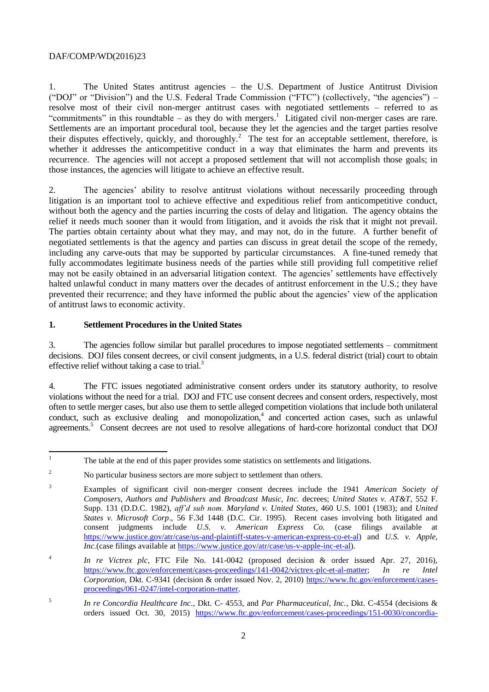1. The United States antitrust agencies – the U.S. Department of Justice Antitrust Division ("DOJ" or "Division") and the U.S. Federal Trade Commission ("FTC") (collectively, "the agencies") – resolve most of their civil non-merger antitrust cases with negotiated settlements – referred to as "commitments" in this roundtable – as they do with mergers.<sup>1</sup> Litigated civil non-merger cases are rare. Settlements are an important procedural tool, because they let the agencies and the target parties resolve their disputes effectively, quickly, and thoroughly.<sup>2</sup> The test for an acceptable settlement, therefore, is whether it addresses the anticompetitive conduct in a way that eliminates the harm and prevents its recurrence. The agencies will not accept a proposed settlement that will not accomplish those goals; in those instances, the agencies will litigate to achieve an effective result.

2. The agencies' ability to resolve antitrust violations without necessarily proceeding through litigation is an important tool to achieve effective and expeditious relief from anticompetitive conduct, without both the agency and the parties incurring the costs of delay and litigation. The agency obtains the relief it needs much sooner than it would from litigation, and it avoids the risk that it might not prevail. The parties obtain certainty about what they may, and may not, do in the future. A further benefit of negotiated settlements is that the agency and parties can discuss in great detail the scope of the remedy, including any carve-outs that may be supported by particular circumstances. A fine-tuned remedy that fully accommodates legitimate business needs of the parties while still providing full competitive relief may not be easily obtained in an adversarial litigation context. The agencies' settlements have effectively halted unlawful conduct in many matters over the decades of antitrust enforcement in the U.S.; they have prevented their recurrence; and they have informed the public about the agencies' view of the application of antitrust laws to economic activity.

# **1. Settlement Procedures in the United States**

3. The agencies follow similar but parallel procedures to impose negotiated settlements – commitment decisions. DOJ files consent decrees, or civil consent judgments, in a U.S. federal district (trial) court to obtain effective relief without taking a case to trial. $3$ 

4. The FTC issues negotiated administrative consent orders under its statutory authority, to resolve violations without the need for a trial. DOJ and FTC use consent decrees and consent orders, respectively, most often to settle merger cases, but also use them to settle alleged competition violations that include both unilateral conduct, such as exclusive dealing and monopolization,<sup>4</sup> and concerted action cases, such as unlawful agreements.<sup>5</sup> Consent decrees are not used to resolve allegations of hard-core horizontal conduct that DOJ

 $\overline{1}$ <sup>1</sup> The table at the end of this paper provides some statistics on settlements and litigations.

<sup>&</sup>lt;sup>2</sup> No particular business sectors are more subject to settlement than others.

<sup>3</sup> Examples of significant civil non-merger consent decrees include the 1941 *American Society of Composers, Authors and Publishers* and *Broadcast Music, Inc.* decrees; *United States v. AT&T*, 552 F. Supp. 131 (D.D.C. 1982), *aff'd sub nom. Maryland v. United States*, 460 U.S. 1001 (1983); and *United States v. Microsoft Corp*., 56 F.3d 1448 (D.C. Cir. 1995). Recent cases involving both litigated and consent judgments include *U.S. v. American Express Co.* (case filings available at [https://www.justice.gov/atr/case/us-and-plaintiff-states-v-american-express-co-et-al\)](https://www.justice.gov/atr/case/us-and-plaintiff-states-v-american-express-co-et-al) and *U.S. v. Apple, Inc.*(case filings available a[t https://www.justice.gov/atr/case/us-v-apple-inc-et-al\)](https://www.justice.gov/atr/case/us-v-apple-inc-et-al).

*<sup>4</sup> In re Victrex plc*, FTC File No. 141-0042 (proposed decision & order issued Apr. 27, 2016), [https://www.ftc.gov/enforcement/cases-proceedings/141-0042/victrex-plc-et-al-matter;](https://www.ftc.gov/enforcement/cases-proceedings/141-0042/victrex-plc-et-al-matter) *In re Intel Corporation*, Dkt. C-9341 (decision & order issued Nov. 2, 2010) [https://www.ftc.gov/enforcement/cases](https://www.ftc.gov/enforcement/cases-proceedings/061-0247/intel-corporation-matter)[proceedings/061-0247/intel-corporation-matter.](https://www.ftc.gov/enforcement/cases-proceedings/061-0247/intel-corporation-matter)

<sup>5</sup> *In re Concordia Healthcare Inc*., Dkt. C- 4553, and *Par Pharmaceutical, Inc.*, Dkt. C-4554 (decisions & orders issued Oct. 30, 2015) [https://www.ftc.gov/enforcement/cases-proceedings/151-0030/concordia-](https://www.ftc.gov/enforcement/cases-proceedings/151-0030/concordia-healthcare-par-pharmaceutical)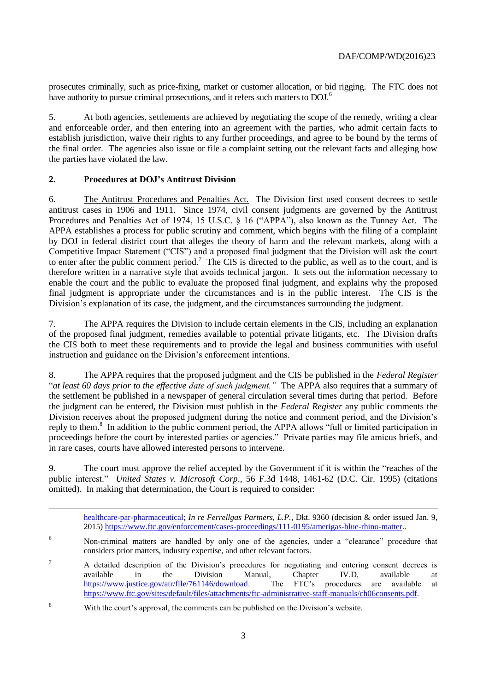prosecutes criminally, such as price-fixing, market or customer allocation, or bid rigging. The FTC does not have authority to pursue criminal prosecutions, and it refers such matters to DOJ.<sup>6</sup>

5. At both agencies, settlements are achieved by negotiating the scope of the remedy, writing a clear and enforceable order, and then entering into an agreement with the parties, who admit certain facts to establish jurisdiction, waive their rights to any further proceedings, and agree to be bound by the terms of the final order. The agencies also issue or file a complaint setting out the relevant facts and alleging how the parties have violated the law.

# **2. Procedures at DOJ's Antitrust Division**

6. The Antitrust Procedures and Penalties Act. The Division first used consent decrees to settle antitrust cases in 1906 and 1911. Since 1974, civil consent judgments are governed by the Antitrust Procedures and Penalties Act of 1974, 15 U.S.C. § 16 ("APPA"), also known as the Tunney Act. The APPA establishes a process for public scrutiny and comment, which begins with the filing of a complaint by DOJ in federal district court that alleges the theory of harm and the relevant markets, along with a Competitive Impact Statement ("CIS") and a proposed final judgment that the Division will ask the court to enter after the public comment period.<sup>7</sup> The CIS is directed to the public, as well as to the court, and is therefore written in a narrative style that avoids technical jargon. It sets out the information necessary to enable the court and the public to evaluate the proposed final judgment, and explains why the proposed final judgment is appropriate under the circumstances and is in the public interest. The CIS is the Division's explanation of its case, the judgment, and the circumstances surrounding the judgment.

7. The APPA requires the Division to include certain elements in the CIS, including an explanation of the proposed final judgment, remedies available to potential private litigants, etc. The Division drafts the CIS both to meet these requirements and to provide the legal and business communities with useful instruction and guidance on the Division's enforcement intentions.

8. The APPA requires that the proposed judgment and the CIS be published in the *Federal Register* "*at least 60 days prior to the effective date of such judgment."* The APPA also requires that a summary of the settlement be published in a newspaper of general circulation several times during that period. Before the judgment can be entered, the Division must publish in the *Federal Register* any public comments the Division receives about the proposed judgment during the notice and comment period, and the Division's reply to them.<sup>8</sup> In addition to the public comment period, the APPA allows "full or limited participation in proceedings before the court by interested parties or agencies." Private parties may file amicus briefs, and in rare cases, courts have allowed interested persons to intervene.

9. The court must approve the relief accepted by the Government if it is within the "reaches of the public interest." *United States v. Microsoft Corp*., 56 F.3d 1448, 1461-62 (D.C. Cir. 1995) (citations omitted). In making that determination, the Court is required to consider:

|   | healthcare-par-pharmaceutical; In re Ferrellgas Partners, L.P., Dkt. 9360 (decision & order issued Jan. 9,<br>2015) https://www.ftc.gov/enforcement/cases-proceedings/111-0195/amerigas-blue-rhino-matter |
|---|-----------------------------------------------------------------------------------------------------------------------------------------------------------------------------------------------------------|
| 6 | Non-criminal matters are handled by only one of the agencies, under a "clearance" procedure that<br>considers prior matters, industry expertise, and other relevant factors.                              |

<sup>&</sup>lt;sup>7</sup> A detailed description of the Division's procedures for negotiating and entering consent decrees is available in the Division Manual, Chapter IV.D, available at [https://www.justice.gov/atr/file/761146/download.](https://www.justice.gov/atr/file/761146/download) The FTC's procedures are available at [https://www.ftc.gov/sites/default/files/attachments/ftc-administrative-staff-manuals/ch06consents.pdf.](https://www.ftc.gov/sites/default/files/attachments/ftc-administrative-staff-manuals/ch06consents.pdf)

<sup>8</sup> With the court's approval, the comments can be published on the Division's website.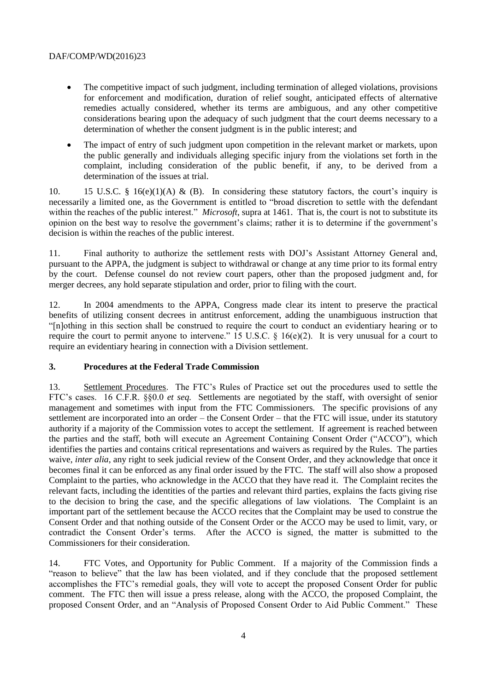- The competitive impact of such judgment, including termination of alleged violations, provisions for enforcement and modification, duration of relief sought, anticipated effects of alternative remedies actually considered, whether its terms are ambiguous, and any other competitive considerations bearing upon the adequacy of such judgment that the court deems necessary to a determination of whether the consent judgment is in the public interest; and
- The impact of entry of such judgment upon competition in the relevant market or markets, upon the public generally and individuals alleging specific injury from the violations set forth in the complaint, including consideration of the public benefit, if any, to be derived from a determination of the issues at trial.

10. 15 U.S.C. § 16(e)(1)(A) & (B). In considering these statutory factors, the court's inquiry is necessarily a limited one, as the Government is entitled to "broad discretion to settle with the defendant within the reaches of the public interest." *Microsoft*, supra at 1461. That is, the court is not to substitute its opinion on the best way to resolve the government's claims; rather it is to determine if the government's decision is within the reaches of the public interest.

11. Final authority to authorize the settlement rests with DOJ's Assistant Attorney General and, pursuant to the APPA, the judgment is subject to withdrawal or change at any time prior to its formal entry by the court. Defense counsel do not review court papers, other than the proposed judgment and, for merger decrees, any hold separate stipulation and order, prior to filing with the court.

12. In 2004 amendments to the APPA, Congress made clear its intent to preserve the practical benefits of utilizing consent decrees in antitrust enforcement, adding the unambiguous instruction that "[n]othing in this section shall be construed to require the court to conduct an evidentiary hearing or to require the court to permit anyone to intervene." 15 U.S.C. § 16(e)(2). It is very unusual for a court to require an evidentiary hearing in connection with a Division settlement.

### **3. Procedures at the Federal Trade Commission**

13. Settlement Procedures. The FTC's Rules of Practice set out the procedures used to settle the FTC's cases. 16 C.F.R. §§0.0 *et seq.* Settlements are negotiated by the staff, with oversight of senior management and sometimes with input from the FTC Commissioners. The specific provisions of any settlement are incorporated into an order – the Consent Order – that the FTC will issue, under its statutory authority if a majority of the Commission votes to accept the settlement. If agreement is reached between the parties and the staff, both will execute an Agreement Containing Consent Order ("ACCO"), which identifies the parties and contains critical representations and waivers as required by the Rules. The parties waive, *inter alia*, any right to seek judicial review of the Consent Order, and they acknowledge that once it becomes final it can be enforced as any final order issued by the FTC. The staff will also show a proposed Complaint to the parties, who acknowledge in the ACCO that they have read it. The Complaint recites the relevant facts, including the identities of the parties and relevant third parties, explains the facts giving rise to the decision to bring the case, and the specific allegations of law violations. The Complaint is an important part of the settlement because the ACCO recites that the Complaint may be used to construe the Consent Order and that nothing outside of the Consent Order or the ACCO may be used to limit, vary, or contradict the Consent Order's terms. After the ACCO is signed, the matter is submitted to the Commissioners for their consideration.

14. FTC Votes, and Opportunity for Public Comment. If a majority of the Commission finds a "reason to believe" that the law has been violated, and if they conclude that the proposed settlement accomplishes the FTC's remedial goals, they will vote to accept the proposed Consent Order for public comment. The FTC then will issue a press release, along with the ACCO, the proposed Complaint, the proposed Consent Order, and an "Analysis of Proposed Consent Order to Aid Public Comment." These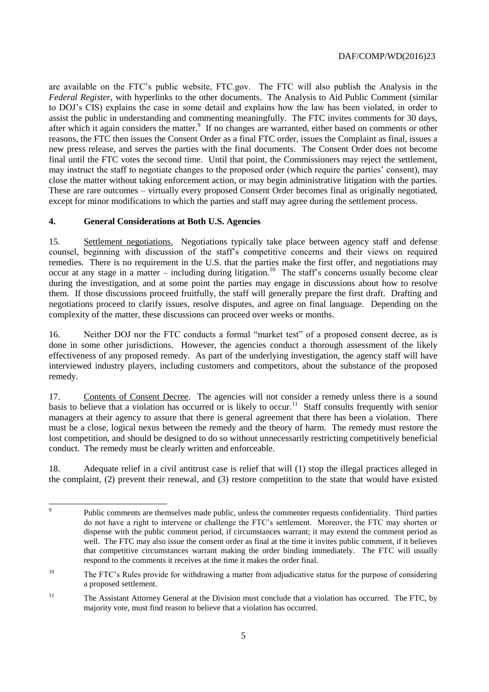are available on the FTC's public website, FTC.gov. The FTC will also publish the Analysis in the *Federal Register*, with hyperlinks to the other documents. The Analysis to Aid Public Comment (similar to DOJ's CIS) explains the case in some detail and explains how the law has been violated, in order to assist the public in understanding and commenting meaningfully. The FTC invites comments for 30 days, after which it again considers the matter.<sup>9</sup> If no changes are warranted, either based on comments or other reasons, the FTC then issues the Consent Order as a final FTC order, issues the Complaint as final, issues a new press release, and serves the parties with the final documents. The Consent Order does not become final until the FTC votes the second time. Until that point, the Commissioners may reject the settlement, may instruct the staff to negotiate changes to the proposed order (which require the parties' consent), may close the matter without taking enforcement action, or may begin administrative litigation with the parties. These are rare outcomes – virtually every proposed Consent Order becomes final as originally negotiated, except for minor modifications to which the parties and staff may agree during the settlement process.

# **4. General Considerations at Both U.S. Agencies**

15. Settlement negotiations. Negotiations typically take place between agency staff and defense counsel, beginning with discussion of the staff's competitive concerns and their views on required remedies. There is no requirement in the U.S. that the parties make the first offer, and negotiations may occur at any stage in a matter – including during litigation.<sup>10</sup> The staff's concerns usually become clear during the investigation, and at some point the parties may engage in discussions about how to resolve them. If those discussions proceed fruitfully, the staff will generally prepare the first draft. Drafting and negotiations proceed to clarify issues, resolve disputes, and agree on final language. Depending on the complexity of the matter, these discussions can proceed over weeks or months.

16. Neither DOJ nor the FTC conducts a formal "market test" of a proposed consent decree, as is done in some other jurisdictions. However, the agencies conduct a thorough assessment of the likely effectiveness of any proposed remedy. As part of the underlying investigation, the agency staff will have interviewed industry players, including customers and competitors, about the substance of the proposed remedy.

17. Contents of Consent Decree. The agencies will not consider a remedy unless there is a sound basis to believe that a violation has occurred or is likely to occur.<sup>11</sup> Staff consults frequently with senior managers at their agency to assure that there is general agreement that there has been a violation. There must be a close, logical nexus between the remedy and the theory of harm. The remedy must restore the lost competition, and should be designed to do so without unnecessarily restricting competitively beneficial conduct. The remedy must be clearly written and enforceable.

18. Adequate relief in a civil antitrust case is relief that will (1) stop the illegal practices alleged in the complaint, (2) prevent their renewal, and (3) restore competition to the state that would have existed

<sup>-&</sup>lt;br>9 Public comments are themselves made public, unless the commenter requests confidentiality. Third parties do not have a right to intervene or challenge the FTC's settlement. Moreover, the FTC may shorten or dispense with the public comment period, if circumstances warrant; it may extend the comment period as well. The FTC may also issue the consent order as final at the time it invites public comment, if it believes that competitive circumstances warrant making the order binding immediately. The FTC will usually respond to the comments it receives at the time it makes the order final.

<sup>&</sup>lt;sup>10</sup> The FTC's Rules provide for withdrawing a matter from adjudicative status for the purpose of considering a proposed settlement.

<sup>&</sup>lt;sup>11</sup> The Assistant Attorney General at the Division must conclude that a violation has occurred. The FTC, by majority vote, must find reason to believe that a violation has occurred.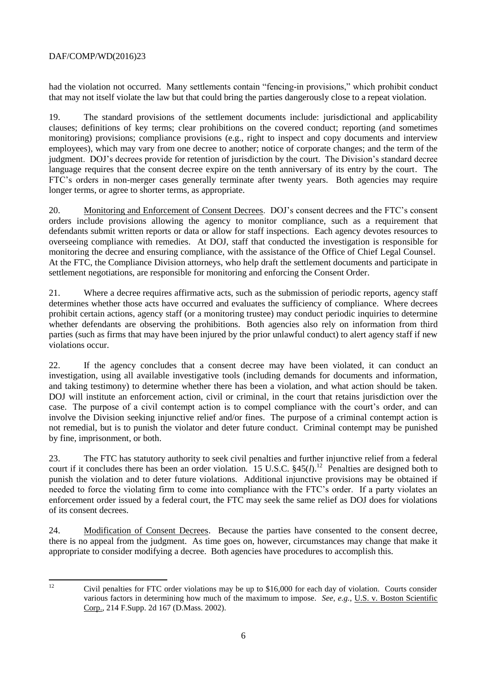had the violation not occurred. Many settlements contain "fencing-in provisions," which prohibit conduct that may not itself violate the law but that could bring the parties dangerously close to a repeat violation.

19. The standard provisions of the settlement documents include: jurisdictional and applicability clauses; definitions of key terms; clear prohibitions on the covered conduct; reporting (and sometimes monitoring) provisions; compliance provisions (e.g., right to inspect and copy documents and interview employees), which may vary from one decree to another; notice of corporate changes; and the term of the judgment. DOJ's decrees provide for retention of jurisdiction by the court. The Division's standard decree language requires that the consent decree expire on the tenth anniversary of its entry by the court. The FTC's orders in non-merger cases generally terminate after twenty years. Both agencies may require longer terms, or agree to shorter terms, as appropriate.

20. Monitoring and Enforcement of Consent Decrees. DOJ's consent decrees and the FTC's consent orders include provisions allowing the agency to monitor compliance, such as a requirement that defendants submit written reports or data or allow for staff inspections. Each agency devotes resources to overseeing compliance with remedies. At DOJ, staff that conducted the investigation is responsible for monitoring the decree and ensuring compliance, with the assistance of the Office of Chief Legal Counsel. At the FTC, the Compliance Division attorneys, who help draft the settlement documents and participate in settlement negotiations, are responsible for monitoring and enforcing the Consent Order.

21. Where a decree requires affirmative acts, such as the submission of periodic reports, agency staff determines whether those acts have occurred and evaluates the sufficiency of compliance. Where decrees prohibit certain actions, agency staff (or a monitoring trustee) may conduct periodic inquiries to determine whether defendants are observing the prohibitions. Both agencies also rely on information from third parties (such as firms that may have been injured by the prior unlawful conduct) to alert agency staff if new violations occur.

22. If the agency concludes that a consent decree may have been violated, it can conduct an investigation, using all available investigative tools (including demands for documents and information, and taking testimony) to determine whether there has been a violation, and what action should be taken. DOJ will institute an enforcement action, civil or criminal, in the court that retains jurisdiction over the case. The purpose of a civil contempt action is to compel compliance with the court's order, and can involve the Division seeking injunctive relief and/or fines. The purpose of a criminal contempt action is not remedial, but is to punish the violator and deter future conduct. Criminal contempt may be punished by fine, imprisonment, or both.

23. The FTC has statutory authority to seek civil penalties and further injunctive relief from a federal court if it concludes there has been an order violation. 15 U.S.C.  $$45(l).$ <sup>12</sup> Penalties are designed both to punish the violation and to deter future violations. Additional injunctive provisions may be obtained if needed to force the violating firm to come into compliance with the FTC's order. If a party violates an enforcement order issued by a federal court, the FTC may seek the same relief as DOJ does for violations of its consent decrees.

24. Modification of Consent Decrees. Because the parties have consented to the consent decree, there is no appeal from the judgment. As time goes on, however, circumstances may change that make it appropriate to consider modifying a decree. Both agencies have procedures to accomplish this.

 $12$ 

<sup>12</sup> Civil penalties for FTC order violations may be up to \$16,000 for each day of violation. Courts consider various factors in determining how much of the maximum to impose. *See, e.g.*, U.S. v. Boston Scientific Corp., 214 F.Supp. 2d 167 (D.Mass. 2002).